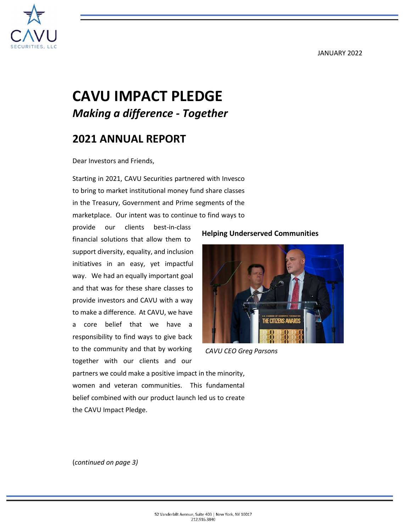#### JANUARY 2022



# **CAVU IMPACT PLEDGE** *Making a difference - Together*

# **2021 ANNUAL REPORT**

Dear Investors and Friends,

Starting in 2021, CAVU Securities partnered with Invesco to bring to market institutional money fund share classes in the Treasury, Government and Prime segments of the marketplace. Our intent was to continue to find ways to

provide our clients best-in-class financial solutions that allow them to support diversity, equality, and inclusion initiatives in an easy, yet impactful way. We had an equally important goal and that was for these share classes to provide investors and CAVU with a way to make a difference. At CAVU, we have a core belief that we have a responsibility to find ways to give back to the community and that by working together with our clients and our



**Helping Underserved Communities**

*CAVU CEO Greg Parsons*

partners we could make a positive impact in the minority, women and veteran communities. This fundamental belief combined with our product launch led us to create the CAVU Impact Pledge.

(*continued on page 3)*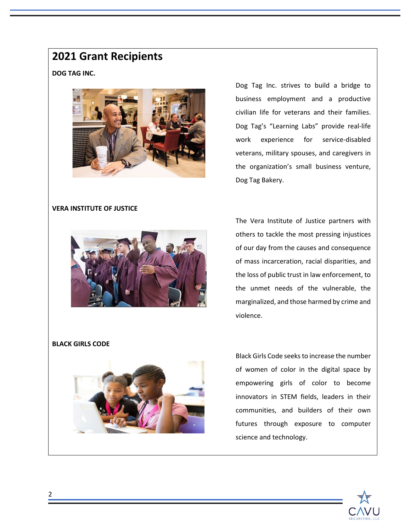## **2021 Grant Recipients**

#### **DOG TAG INC.**



Dog Tag Inc. strives to build a bridge to business employment and a productive civilian life for veterans and their families. Dog Tag's "Learning Labs" provide real-life work experience for service-disabled veterans, military spouses, and caregivers in the organization's small business venture, Dog Tag Bakery.

#### **VERA INSTITUTE OF JUSTICE**



The Vera Institute of Justice partners with others to tackle the most pressing injustices of our day from the causes and consequence of mass incarceration, racial disparities, and the loss of public trust in law enforcement, to the unmet needs of the vulnerable, the marginalized, and those harmed by crime and violence.

#### **BLACK GIRLS CODE**



Black Girls Code seeks to increase the number of women of color in the digital space by empowering girls of color to become innovators in STEM fields, leaders in their communities, and builders of their own futures through exposure to computer science and technology.

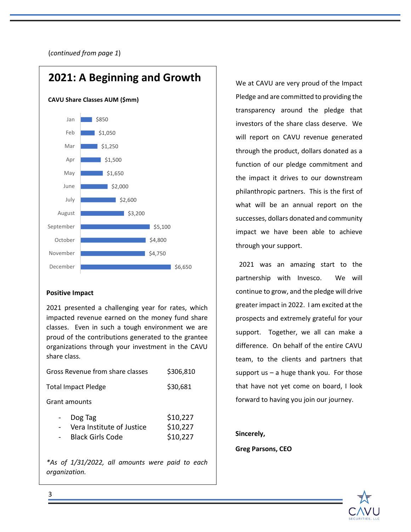(*continued from page 1*)



#### **Positive Impact**

2021 presented a challenging year for rates, which impacted revenue earned on the money fund share classes. Even in such a tough environment we are proud of the contributions generated to the grantee organizations through your investment in the CAVU share class.

| Gross Revenue from share classes                                | \$306,810                        |
|-----------------------------------------------------------------|----------------------------------|
| <b>Total Impact Pledge</b>                                      | \$30,681                         |
| Grant amounts                                                   |                                  |
| Dog Tag<br>Vera Institute of Justice<br><b>Black Girls Code</b> | \$10,227<br>\$10,227<br>\$10,227 |
|                                                                 |                                  |

 *organization. \*As of 1/31/2022, all amounts were paid to each*  We at CAVU are very proud of the Impact Pledge and are committed to providing the transparency around the pledge that investors of the share class deserve. We will report on CAVU revenue generated through the product, dollars donated as a function of our pledge commitment and the impact it drives to our downstream philanthropic partners. This is the first of what will be an annual report on the successes, dollars donated and community impact we have been able to achieve through your support.

 2021 was an amazing start to the partnership with Invesco. We will continue to grow, and the pledge will drive greater impact in 2022. I am excited at the prospects and extremely grateful for your support. Together, we all can make a difference. On behalf of the entire CAVU team, to the clients and partners that support us  $-$  a huge thank you. For those that have not yet come on board, I look forward to having you join our journey.

#### **Sincerely,**

**Greg Parsons, CEO**